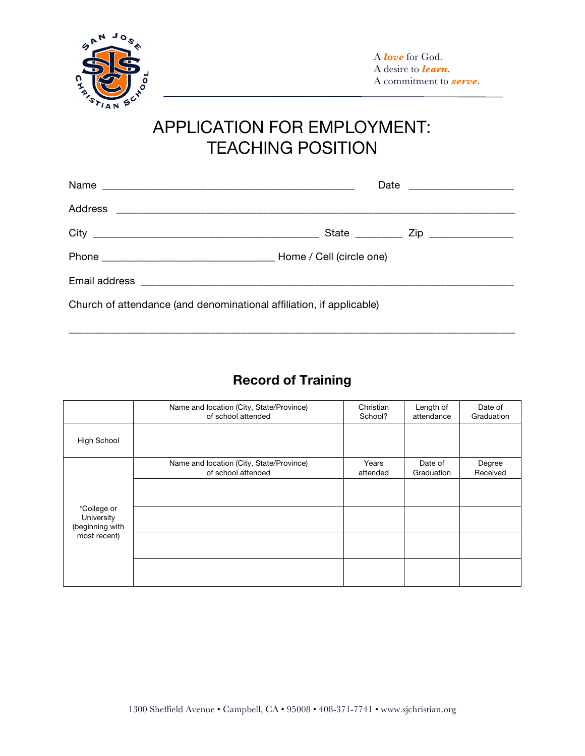

## APPLICATION FOR EMPLOYMENT: TEACHING POSITION

| Church of attendance (and denominational affiliation, if applicable) |  |  |  |
|----------------------------------------------------------------------|--|--|--|

## **Record of Training**

\_\_\_\_\_\_\_\_\_\_\_\_\_\_\_\_\_\_\_\_\_\_\_\_\_\_\_\_\_\_\_\_\_\_\_\_\_\_\_\_\_\_\_\_\_\_\_\_\_\_\_\_\_\_\_\_\_\_\_\_\_\_\_\_\_\_\_\_\_\_\_\_\_\_\_\_\_\_\_\_\_\_\_\_\_

|                                              | Name and location (City, State/Province)<br>of school attended | Christian<br>School? | Length of<br>attendance | Date of<br>Graduation |
|----------------------------------------------|----------------------------------------------------------------|----------------------|-------------------------|-----------------------|
| High School                                  |                                                                |                      |                         |                       |
|                                              | Name and location (City, State/Province)<br>of school attended | Years<br>attended    | Date of<br>Graduation   | Degree<br>Received    |
|                                              |                                                                |                      |                         |                       |
| *College or<br>University<br>(beginning with |                                                                |                      |                         |                       |
| most recent)                                 |                                                                |                      |                         |                       |
|                                              |                                                                |                      |                         |                       |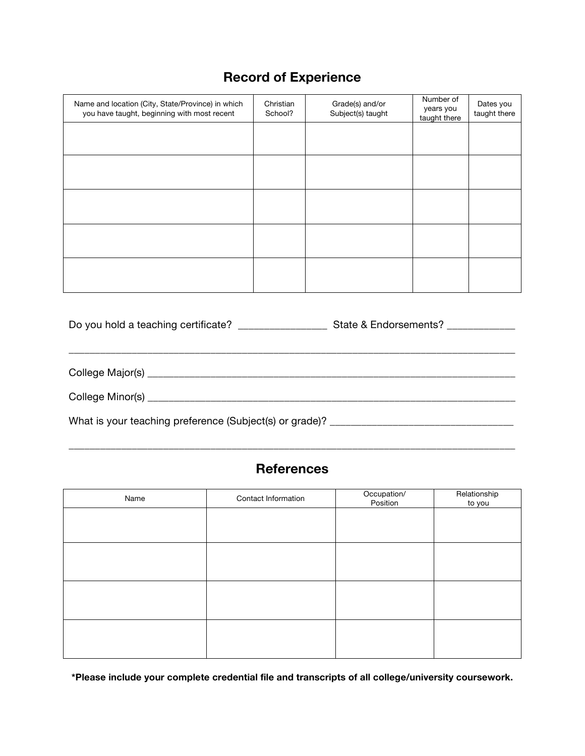## **Record of Experience**

| Name and location (City, State/Province) in which<br>you have taught, beginning with most recent | Christian<br>School? | Grade(s) and/or<br>Subject(s) taught | Number of<br>years you<br>taught there | Dates you<br>taught there |
|--------------------------------------------------------------------------------------------------|----------------------|--------------------------------------|----------------------------------------|---------------------------|
|                                                                                                  |                      |                                      |                                        |                           |
|                                                                                                  |                      |                                      |                                        |                           |
|                                                                                                  |                      |                                      |                                        |                           |
|                                                                                                  |                      |                                      |                                        |                           |
|                                                                                                  |                      |                                      |                                        |                           |

| Do you hold a teaching certificate?                     | State & Endorsements? ____________ |
|---------------------------------------------------------|------------------------------------|
|                                                         |                                    |
|                                                         |                                    |
| What is your teaching preference (Subject(s) or grade)? |                                    |

## **References**

\_\_\_\_\_\_\_\_\_\_\_\_\_\_\_\_\_\_\_\_\_\_\_\_\_\_\_\_\_\_\_\_\_\_\_\_\_\_\_\_\_\_\_\_\_\_\_\_\_\_\_\_\_\_\_\_\_\_\_\_\_\_\_\_\_\_\_\_\_\_\_\_\_\_\_\_\_\_\_\_\_\_\_\_\_

| Name | Contact Information | Occupation/<br>Position | Relationship<br>to you |
|------|---------------------|-------------------------|------------------------|
|      |                     |                         |                        |
|      |                     |                         |                        |
|      |                     |                         |                        |
|      |                     |                         |                        |
|      |                     |                         |                        |
|      |                     |                         |                        |
|      |                     |                         |                        |
|      |                     |                         |                        |

**\*Please include your complete credential file and transcripts of all college/university coursework.**